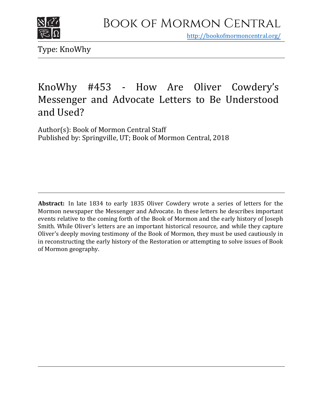

<http://bookofmormoncentral.org/>

Type: KnoWhy

# KnoWhy #453 - How Are Oliver Cowdery's Messenger and Advocate Letters to Be Understood and Used?

Author(s): Book of Mormon Central Staff Published by: Springville, UT; Book of Mormon Central, 2018

**Abstract:** In late 1834 to early 1835 Oliver Cowdery wrote a series of letters for the Mormon newspaper the Messenger and Advocate. In these letters he describes important events relative to the coming forth of the Book of Mormon and the early history of Joseph Smith. While Oliver's letters are an important historical resource, and while they capture Oliver's deeply moving testimony of the Book of Mormon, they must be used cautiously in in reconstructing the early history of the Restoration or attempting to solve issues of Book of Mormon geography.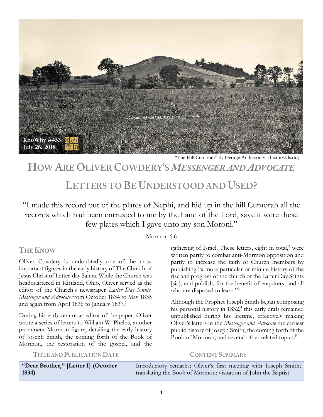

"The Hill Cumorah" by George Anderson via history.lds.org

## **HOW ARE OLIVER COWDERY'S** *MESSENGER AND ADVOCATE*

## **LETTERS TO BE UNDERSTOOD AND USED?**

"I made this record out of the plates of Nephi, and hid up in the hill Cumorah all the records which had been entrusted to me by the hand of the Lord, save it were these few plates which I gave unto my son Moroni."

#### Mormon 6:6

## **THE KNOW**

Oliver Cowdery is undoubtedly one of the most important figures in the early history of The Church of Jesus Christ of Latter-day Saints. While the Church was headquartered in Kirtland, Ohio, Oliver served as the editor of the Church's newspaper *Latter Day Saints' Messenger and Advocate* from October 1834 to May 1835 and again from April 1836 to January 1837.<sup>1</sup>

During his early tenure as editor of the paper, Oliver wrote a series of letters to William W. Phelps, another prominent Mormon figure, detailing the early history of Joseph Smith, the coming forth of the Book of Mormon, the restoration of the gospel, and the

gathering of Israel. These letters, eight in total, $2$  were written partly to combat anti-Mormon opposition and partly to increase the faith of Church members by publishing "a more particular or minute history of the rise and progress of the church of the Latter Day Saints [sic]; and publish, for the benefit of enquirers, and all who are disposed to learn."<sup>3</sup>

Although the Prophet Joseph Smith began composing his personal history in 1832,<sup>4</sup> this early draft remained unpublished during his lifetime, effectively making Oliver's letters in the *Messenger and Advocate* the earliest public history of Joseph Smith, the coming forth of the Book of Mormon, and several other related topics.<sup>5</sup>

**TITLE AND PUBLICATION DATE CONTENT SUMMARY**

**"Dear Brother," [Letter I] (October 1834)**  Introductory remarks; Oliver's first meeting with Joseph Smith; translating the Book of Mormon; visitation of John the Baptist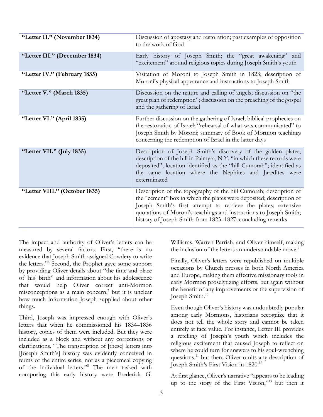| "Letter II." (November 1834)  | Discussion of apostasy and restoration; past examples of opposition<br>to the work of God                                                                                                                                                                                                                                                      |
|-------------------------------|------------------------------------------------------------------------------------------------------------------------------------------------------------------------------------------------------------------------------------------------------------------------------------------------------------------------------------------------|
| "Letter III." (December 1834) | Early history of Joseph Smith; the "great awakening" and<br>"excitement" around religious topics during Joseph Smith's youth                                                                                                                                                                                                                   |
| "Letter IV." (February 1835)  | Visitation of Moroni to Joseph Smith in 1823; description of<br>Moroni's physical appearance and instructions to Joseph Smith                                                                                                                                                                                                                  |
| "Letter V." (March 1835)      | Discussion on the nature and calling of angels; discussion on "the<br>great plan of redemption"; discussion on the preaching of the gospel<br>and the gathering of Israel                                                                                                                                                                      |
| "Letter VI." (April 1835)     | Further discussion on the gathering of Israel; biblical prophecies on<br>the restoration of Israel; "rehearsal of what was communicated" to<br>Joseph Smith by Moroni; summary of Book of Mormon teachings<br>concerning the redemption of Israel in the latter days                                                                           |
| "Letter VII." (July 1835)     | Description of Joseph Smith's discovery of the golden plates;<br>description of the hill in Palmyra, N.Y. "in which these records were<br>deposited"; location identified as the "hill Cumorah"; identified as<br>the same location where the Nephites and Jaredites were<br>exterminated                                                      |
| "Letter VIII." (October 1835) | Description of the topography of the hill Cumorah; description of<br>the "cement" box in which the plates were deposited; description of<br>Joseph Smith's first attempt to retrieve the plates; extensive<br>quotations of Moroni's teachings and instructions to Joseph Smith;<br>history of Joseph Smith from 1823-1827; concluding remarks |

The impact and authority of Oliver's letters can be measured by several factors. First, "there is no evidence that Joseph Smith assigned Cowdery to write the letters."6 Second, the Prophet gave some support by providing Oliver details about "the time and place of [his] birth" and information about his adolescence that would help Oliver correct anti-Mormon misconceptions as a main concern, $\bar{y}$  but it is unclear how much information Joseph supplied about other things.

Third, Joseph was impressed enough with Oliver's letters that when he commissioned his 1834–1836 history, copies of them were included. But they were included as a block and without any corrections or clarifications. "The transcription of [these] letters into [Joseph Smith's] history was evidently conceived in terms of the entire series, not as a piecemeal copying of the individual letters."8 The men tasked with composing this early history were Frederick G.

Williams, Warren Parrish, and Oliver himself, making the inclusion of the letters an understandable move.<sup>9</sup>

Finally, Oliver's letters were republished on multiple occasions by Church presses in both North America and Europe, making them effective missionary tools in early Mormon proselytizing efforts, but again without the benefit of any improvements or the supervision of Joseph Smith.10

Even though Oliver's history was undoubtedly popular among early Mormons, historians recognize that it does not tell the whole story and cannot be taken entirely at face value. For instance, Letter III provides a retelling of Joseph's youth which includes the religious excitement that caused Joseph to reflect on where he could turn for answers to his soul-wrenching questions,<sup>11</sup> but then, Oliver omits any description of Joseph Smith's First Vision in 1820.12

At first glance, Oliver's narrative "appears to be leading up to the story of the First Vision,"<sup>13</sup> but then it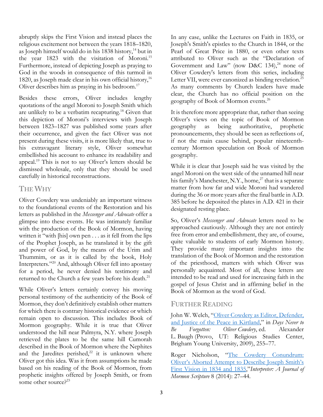abruptly skips the First Vision and instead places the religious excitement not between the years 1818–1820, as Joseph himself would do in his 1838 history,<sup>14</sup> but in the year 1823 with the visitation of Moroni.<sup>15</sup> Furthermore, instead of depicting Joseph as praying to God in the woods in consequence of this turmoil in 1820, as Joseph made clear in his own official history, $16$ Oliver describes him as praying in his bedroom.<sup>17</sup>

Besides these errors, Oliver includes lengthy quotations of the angel Moroni to Joseph Smith which are unlikely to be a verbatim recapturing.18 Given that this depiction of Moroni's interviews with Joseph between 1823–1827 was published some years after their occurrence, and given the fact Oliver was not present during these visits, it is more likely that, true to his extravagant literary style, Oliver somewhat embellished his account to enhance its readability and appeal.19 This is not to say Oliver's letters should be dismissed wholesale, only that they should be used carefully in historical reconstructions.

### **THE WHY**

Oliver Cowdery was undeniably an important witness to the foundational events of the Restoration and his letters as published in the *Messenger and Advocate* offer a glimpse into these events. He was intimately familiar with the production of the Book of Mormon, having written it "with [his] own pen . . . as it fell from the lips of the Prophet Joseph, as he translated it by the gift and power of God, by the means of the Urim and Thummim, or as it is called by the book, Holy Interpreters."20 And, although Oliver fell into apostasy for a period, he never denied his testimony and returned to the Church a few years before his death.<sup>21</sup>

While Oliver's letters certainly convey his moving personal testimony of the authenticity of the Book of Mormon, they don't definitively establish other matters for which there is contrary historical evidence or which remain open to discussion. This includes Book of Mormon geography. While it is true that Oliver understood the hill near Palmyra, N.Y. where Joseph retrieved the plates to be the same hill Cumorah described in the Book of Mormon where the Nephites and the Jaredites perished, $2^2$  it is unknown where Oliver got this idea. Was it from assumptions he made based on his reading of the Book of Mormon, from prophetic insights offered by Joseph Smith, or from some other source $e^{23}$ 

In any case, unlike the Lectures on Faith in 1835, or Joseph's Smith's epistles to the Church in 1844, or the Pearl of Great Price in 1880, or even other texts attributed to Oliver such as the "Declaration of Government and Law" (now D&C 134), $^{24}$  none of Oliver Cowdery's letters from this series, including Letter VII, were ever canonized as binding revelation.<sup>25</sup> As many comments by Church leaders have made clear, the Church has no official position on the geography of Book of Mormon events.<sup>26</sup>

It is therefore more appropriate that, rather than seeing Oliver's views on the topic of Book of Mormon geography as being authoritative, prophetic pronouncements, they should be seen as reflections of, if not the main cause behind, popular nineteenthcentury Mormon speculation on Book of Mormon geography.

While it is clear that Joseph said he was visited by the angel Moroni on the west side of the unnamed hill near his family's Manchester, N.Y., home,<sup>27</sup> that is a separate matter from how far and wide Moroni had wandered during the 36 or more years after the final battle in A.D. 385 before he deposited the plates in A.D. 421 in their designated resting place.

So, Oliver's *Messenger and Advocate* letters need to be approached cautiously. Although they are not entirely free from error and embellishment, they are, of course, quite valuable to students of early Mormon history. They provide many important insights into the translation of the Book of Mormon and the restoration of the priesthood, matters with which Oliver was personally acquainted. Most of all, these letters are intended to be read and used for increasing faith in the gospel of Jesus Christ and in affirming belief in the Book of Mormon as the word of God.

### **FURTHER READING**

John W. Welch, "Oliver Cowdery as Editor, Defender, [and Justice of the Peace in Kirtland,](https://rsc.byu.edu/archived/days-never-be-forgotten-oliver-cowdery/9-oliver-cowdery-editor-defender-and-justice-peace)" in *Days Never to Be Forgotten: Oliver Cowdery*, ed. Alexander L. Baugh (Provo, UT: Religious Studies Center, Brigham Young University, 2009), 255–77.

Roger Nicholson, "The Cowdery Conundrum: [Oliver's Aborted Attempt to Describe Joseph Smith's](https://www.mormoninterpreter.com/the-cowdery-conundrum-olivers-aborted-attempt-to-describe-joseph-smiths-first-vision-in-1834-and-1835/)  [First Vision in 1834 and 1835,](https://www.mormoninterpreter.com/the-cowdery-conundrum-olivers-aborted-attempt-to-describe-joseph-smiths-first-vision-in-1834-and-1835/)"*Interpreter: A Journal of Mormon Scripture* 8 (2014): 27–44.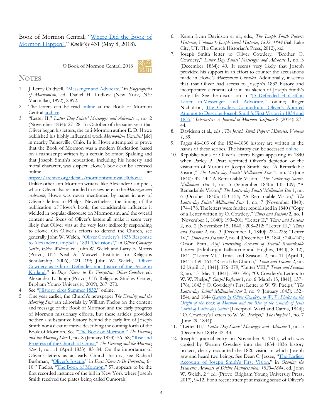Book of Mormon Central, ["Where Did the Book of](https://knowhy.bookofmormoncentral.org/content/where-did-the-book-of-mormon-happen)  [Mormon Happen?,"](https://knowhy.bookofmormoncentral.org/content/where-did-the-book-of-mormon-happen) *KnoWhy* 431 (May 8, 2018).

© Book of Mormon Central, 2018



#### **NOTES**

- 1. J. Leroy Caldwell, ["Messenger and Advocate,](http://eom.byu.edu/index.php/Messenger_and_Advocate)" in *Encyclopedia of Mormonism*, ed. Daniel H. Ludlow (New York, NY: Macmillan, 1992), 2:892.
- 2. The letters can be read [online](https://archive.bookofmormoncentral.org/author/Cowdery,%20Oliver) at the Book of Mormon Centra[l archive.](https://archive.bookofmormoncentral.org/author/Cowdery,%20Oliver)
- 3. "Letter II," *Latter Day Saints' Messenger and Advocate* 1, no. 2 (November 1834): 27–28. In October of the same year that Oliver began his letters, the anti-Mormon author E. D. Howe published his highly influential work *Mormonism Unvailed* [sic] in nearby Painesville, Ohio. In it, Howe attempted to prove that the Book of Mormon was a modern fabrication based on a manuscript written by a certain Solomon Spalding and that Joseph Smith's reputation, including his honesty and moral character, was suspect. Howe's book can be accessed online at:

#### [https://archive.org/details/mormonismunvaile00howe.](https://archive.org/details/mormonismunvaile00howe)

Unlike other anti-Mormon writers, like Alexander Campbell, whom Oliver also responded to elsewhere in the *Messenger and Advocate*, Howe was never mentioned by name in any of Oliver's letters to Phelps. Nevertheless, the timing of the publication of Howe's book, the considerable influence it wielded in popular discourse on Mormonism, and the overall content and focus of Oliver's letters all make it seem very likely that Oliver was at the very least indirectly responding to Howe. On Oliver's efforts to defend the Church, see generally John W. Welch[, "Oliver Cowdery's 1835 Response](https://publications.mi.byu.edu/fullscreen/?pub=2239&index=11)  [to Alexander Campbell's 1831 'Delusions',"](https://publications.mi.byu.edu/fullscreen/?pub=2239&index=11) in *Oliver Cowdery: Scribe, Elder, Witness*, ed. John W. Welch and Larry E. Morris (Provo, UT: Neal A. Maxwell Institute for Religious Scholarship, 2006), 221-239; John W. Welch, "Oliver [Cowdery as Editor, Defender, and Justice of the Peace in](https://rsc.byu.edu/archived/days-never-be-forgotten-oliver-cowdery/9-oliver-cowdery-editor-defender-and-justice-peace)  [Kirtland,"](https://rsc.byu.edu/archived/days-never-be-forgotten-oliver-cowdery/9-oliver-cowdery-editor-defender-and-justice-peace) in *Days Never to Be Forgotten: Oliver Cowdery*, ed. Alexander L. Baugh (Provo, UT: Religious Studies Center, Brigham Young University, 2009), 267–270.

- 4. See ["History, circa Summer 1832,](http://www.josephsmithpapers.org/paper-summary/history-circa-summer-1832/1)" online.
- 5. One year earlier, the Church's newspaper *The Evening and the Morning Star* ran editorials by William Phelps on the content and message of the Book of Mormon and the early progress of Mormon missionary efforts, but these articles provided neither a substantive history behind the early life of Joseph Smith nor a clear narrative describing the coming forth of the Book of Mormon. See ["The Book of Mormon,](https://www.fairmormon.org/answers/The_Evening_and_The_Morning_Star/1/8)" *The Evening and the Morning Star* 1, no. 8 (January 1833): 56–58; ["Rise and](http://www.josephsmithpapers.org/paper-summary/william-w-phelps-rise-and-progress-of-the-church-of-christ-april-1833/1)  [Progress of the Church of Christ,"](http://www.josephsmithpapers.org/paper-summary/william-w-phelps-rise-and-progress-of-the-church-of-christ-april-1833/1) *The Evening and the Morning Star* 1, no. 11 (April 1833): 83–84. On the importance of Oliver's letters as an early Church history, see Richard Bushman, ["Oliver's Joseph,"](https://rsc.byu.edu/archived/days-never-be-forgotten-oliver-cowdery/1-olivers-joseph) in *Days Never to Be Forgotten*, 6– 10." Phelps, ["The Book of Mormon,"](https://www.fairmormon.org/answers/The_Evening_and_The_Morning_Star/1/8) 57, appears to be the first recorded instance of the hill in New York where Joseph Smith received the plates being called Cumorah.
- 6. Karen Lynn Davidson et al., eds., *The Joseph Smith Papers: Histories, Volume 1: Joseph Smith Histories, 1832–1844* (Salt Lake City, UT: The Church Historian's Press, 2012), xxi.
- 7. Joseph Smith letter to Oliver Cowdery, "Brother O. Cowdery," *Latter Day Saints' Messenger and Advocate* 1, no. 3 (December 1834): 40. It seems very likely that Joseph provided his support in an effort to counter the accusations made in Howe's *Mormonism Unvailed.* Additionally, it seems that that Oliver had access to Joseph's 1832 history and incorporated elements of it in his sketch of Joseph Smith's early life. See the discussion in ["JS Defended Himself in](http://www.josephsmithpapers.org/event/js-defended-himself-in-letter-in-messenger-and-advocate)  Letter in [Messenger and Advocate,"](http://www.josephsmithpapers.org/event/js-defended-himself-in-letter-in-messenger-and-advocate) online; Roger Nicholson, [The Cowdery Conundrum: Oliver's Aborted](https://www.mormoninterpreter.com/the-cowdery-conundrum-olivers-aborted-attempt-to-describe-joseph-smiths-first-vision-in-1834-and-1835/)  [Attempt to Describe Joseph Smith's First Vision in 1834 and](https://www.mormoninterpreter.com/the-cowdery-conundrum-olivers-aborted-attempt-to-describe-joseph-smiths-first-vision-in-1834-and-1835/)  [1835,"](https://www.mormoninterpreter.com/the-cowdery-conundrum-olivers-aborted-attempt-to-describe-joseph-smiths-first-vision-in-1834-and-1835/) *Interpreter: A Journal of Mormon Scripture* 8 (2014): 27– 44.
- 8. Davidson et al., eds., *The Joseph Smith Papers: Histories, Volume 1*, 39.
- 9. Pages 46–103 of the 1834–1836 history are written in the hands of these scribes. The history can be accessed [online.](http://www.josephsmithpapers.org/paper-summary/history-1834-1836/48#XEC7279AC-D0DE-4E03-8335-C3E346B72773.)
- 10. Republications of Oliver's letters began appearing in 1840 when Parley P. Pratt reprinted Oliver's depiction of the visitation of Moroni to Joseph Smith. See "A Remarkable Vision," *The Latter-day Saints' Millennial Star* 1, no. 2 (June 1840): 42–44; "A Remarkable Vision," *The Latter-day Saints' Millennial Star* 1, no. 5 (September 1840): 105–109; "A Remarkable Vision," *The Latter-day Saints' Millennial Star* 1, no. 6 (October 1840): 150–154; "A Remarkable Vision," *The Latter-day Saints' Millennial Star* 1, no. 7 (November 1840): 174–178. The letters were further republished in 1840 ("Copy of a Letter written by O. Cowdery," *Times and Seasons* 2, no. 1 [November 1, 1840]: 199–201; "Letter II," *Times and Seasons* 2, no. 2 [November 15, 1840]: 208–212; "Letter III," *Times and Seasons* 2, no. 3 [December 1, 1840]: 224–225; "Letter IV," *Times and Seasons* 2, no. 4 [December 15, 1840]: 240–242; Orson Pratt, *A[n] Interesting Account of Several Remarkable Visions* [Edinburgh: Ballantyne and Hughes, 1840], 8–12), 1841 ("Letter VI," Times and Seasons 2, no. 11 [April 1, 1841]: 359–363; "Rise of the Church," *Times and Seasons* 2, no. 12 [April 15, 1841]: 376–379; "Letter VIII," *Times and Seasons* 2, no. 13 [May 1, 1841]: 390–396; "O. Cowdery's Letters to W. W. Phelps," *Gospel Reflector* 1, no. 6 [March 15, 1841]; 137– 176), 1843 ("O. Cowdery's First Letter to W. W. Phelps," *The Latter-day Saints' Millennial Star* 3, no. 9 [January 1843]: 152– 154), and 1844 (*[Letters by Oliver Cowdery, to W.W. Phelps on the](https://archive.bookofmormoncentral.org/content/letters-oliver-cowdery-ww-phelps-origin-book-mormon-and-rise-church-jesus-christ-latter-day)  [Origin of the Book of Mormon and the Rise of the Church of Jesus](https://archive.bookofmormoncentral.org/content/letters-oliver-cowdery-ww-phelps-origin-book-mormon-and-rise-church-jesus-christ-latter-day)  [Christ of Latter-day Saints](https://archive.bookofmormoncentral.org/content/letters-oliver-cowdery-ww-phelps-origin-book-mormon-and-rise-church-jesus-christ-latter-day)* [Liverpool: Ward and Cairns, 1844]; "O. Cowdery's Letters to W. W. Phelps," *The Prophet* 1, no. 7 [June 29, 1844]).
- 11. "Letter III," *Latter Day Saints' Messenger and Advocate* 1, no. 3 (December 1834): 42–43.
- 12. Joseph's journal entry on November 9, 1835, which was copied by Warren Cowdery into the 1834–1836 history project, clearly recounted the 1820 vision in which Joseph saw and heard two beings. See Dean C. Jessee, "The Earliest [Accounts of Joseph Smith's First Vision,](https://byustudies.byu.edu/content/early-accounts-joseph-smiths-first-vision)" in *Opening the Heavens: Accounts of Divine Manifestation, 1820–1844*, ed. John W. Welch, 2nd ed. (Provo: Brigham Young University Press, 2017), 9–12. For a recent attempt at making sense of Oliver's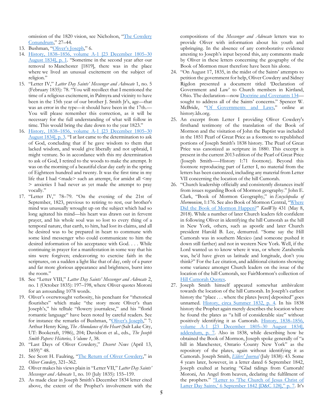omission of the 1820 vision, see Nicholson, ["The Cowdery](https://www.mormoninterpreter.com/the-cowdery-conundrum-olivers-aborted-attempt-to-describe-joseph-smiths-first-vision-in-1834-and-1835/)  [Conundrum,"](https://www.mormoninterpreter.com/the-cowdery-conundrum-olivers-aborted-attempt-to-describe-joseph-smiths-first-vision-in-1834-and-1835/) 27–44.

- 13. Bushman, ["Oliver's Joseph,](https://rsc.byu.edu/archived/days-never-be-forgotten-oliver-cowdery/1-olivers-joseph)" 6.
- 14. [History, 1838–1856, volume A-1 \[23 December 1805–30](http://www.josephsmithpapers.org/paper-summary/history-1838-1856-volume-a-1-23-december-1805-30-august-1834/1)  [August 1834\], p. 1.](http://www.josephsmithpapers.org/paper-summary/history-1838-1856-volume-a-1-23-december-1805-30-august-1834/1) "Sometime in the second year after our removal to Manchester [1819], there was in the place where we lived an unusual excitement on the subject of religion."
- 15. "Letter IV," *Latter Day Saints' Messenger and Advocate* 1, no. 5 (February 1835): 78. "You will recollect that I mentioned the time of a religious excitement, in Palmyra and vicinity to have been in the 15th year of our brother J. Smith Jr's, age—that was an error in the type—it should have been in the 17th.— You will please remember this correction, as it will be necessary for the full understanding of what will follow in time. This would bring the date down to the year 1823."
- 16. [History, 1838–1856, volume A-1 \[23 December 1805–30](http://www.josephsmithpapers.org/paper-summary/history-1838-1856-volume-a-1-23-december-1805-30-august-1834/3)  [August 1834\], p. 3.](http://www.josephsmithpapers.org/paper-summary/history-1838-1856-volume-a-1-23-december-1805-30-august-1834/3) "I at last came to the determination to ask of God, concluding that if he gave wisdom to them that lacked wisdom, and would give liberally and not upbraid, I might venture. So in accordance with this my determination to ask of God, I retired to the woods to make the attempt. It was on the morning of a beautiful clear day early in the spring of Eightteen hundred and twenty. It was the first time in my life that I had  $\leq$  made  $>$  such an attempt, for amidst all  $\leq$  my > anxieties I had never as yet made the attempt to pray vocally."
- 17. "Letter IV," 78–79. "On the evening of the 21st of September, 1823, previous to retiring to rest, our brother's mind was unusually wrought up on the subject which had so long agitated his mind—his heart was drawn out in fervent prayer, and his whole soul was so lost to every thing of a temporal nature, that earth, to him, had lost its claims, and all he desired was to be prepared in heart to commune with some kind messenger who could communicate to him the desired information of his acceptance with God. . . . While continuing in prayer for a manifestation in some way that his sins were forgiven; endeavoring to exercise faith in the scriptures, on a sudden a light like that of day, only of a purer and far more glorious appearance and brightness, burst into the room."
- 18. See "Letter VIII," *Latter Day Saints' Messenger and Advocate* 2, no. 1 (October 1835): 197–198, where Oliver quotes Moroni for an astounding 1078 words.
- 19. Oliver's overwrought verbosity, his penchant for "rhetorical flourishes" which make "the story more Oliver's than Joseph's," his telltale "flowery journalese," and his "florid romantic language" have been noted by careful readers. See for instance the remarks of Bushman, ["Oliver's Joseph,](https://rsc.byu.edu/archived/days-never-be-forgotten-oliver-cowdery/1-olivers-joseph)" 7; Arthur Henry King, *The Abundance of the Heart* (Salt Lake City, UT: Bookcraft, 1986), 204; Davidson et al., eds., *The Joseph Smith Papers: Histories, Volume 1*, 38.
- 20. "Last Days of Oliver Cowdery," *Deseret News* (April 13, 1859)" 48.
- 21. See Scott H. Faulring, ["The Return of Oliver Cowdery,](https://publications.mi.byu.edu/fullscreen/?pub=2239&index=16)" in *Oliver Cowdery*, 321–362.
- 22. Oliver makes his views plain in "Letter VII," *Latter Day Saints' Messenger and Advocate* 1, no. 10 (July 1835): 155–159.
- 23. As made clear in Joseph Smith's December 1834 letter cited above, the extent of the Prophet's involvement with the

compositions of the *Messenger and Advocate* letters was to provide Oliver with information about his youth and upbringing. In the absence of any corroborative evidence attesting to Joseph's input beyond this, any comments made by Oliver in these letters concerning the geography of the Book of Mormon must therefore have been his alone.

- 24. "On August 17, 1835, in the midst of the Saints' attempts to petition the government for help, Oliver Cowdery and Sidney Rigdon presented a document titled 'Declaration of Government and Law' to Church members in Kirtland, Ohio. The declaration—no[w Doctrine and Covenants 134](https://www.lds.org/scriptures/dc-testament/dc/134?lang=eng) sought to address all of the Saints' concerns." Spencer W. McBride, ["Of Governments and Laws,](https://history.lds.org/article/of-governments-and-laws?lang=eng)" online at history.lds.org.
- 25. An excerpt from Letter I providing Oliver Cowdery's firsthand testimony of the translation of the Book of Mormon and the visitation of John the Baptist was included in the 1851 Pearl of Great Price as a footnote to republished portions of Joseph Smith's 1838 history. The Pearl of Great Price was canonized as scripture in 1880. This excerpt is present in the current 2013 edition of the Pearl of Great Price (Joseph Smith–––History 1:71 footnote). Beyond this footnote reproducing part of Letter I, no material from the letters has been canonized, including any material from Letter VII concerning the location of the hill Cumorah.
- 26. "Church leadership officially and consistently distances itself from issues regarding Book of Mormon geography." John E. Clark, "Book of Mormon Geography," in *Encyclopedia of Mormonism*, 1:176. See also Book of Mormon Central, ["Where](https://knowhy.bookofmormoncentral.org/content/where-did-the-book-of-mormon-happen)  [Did the Book of Mormon Happen?"](https://knowhy.bookofmormoncentral.org/content/where-did-the-book-of-mormon-happen) *KnoWhy* 431 (May 8, 2018). While a number of later Church leaders felt confident in following Oliver in identifying the hill Cumorah as the hill in New York, others, such as apostle and later Church president Harold B. Lee, demurred. "Some say the Hill Cumorah was in southern Mexico (and someone pushed it down still farther) and not in western New York. Well, if the Lord wanted us to know where it was, or where Zarahemla was, he'd have given us latitude and longitude, don't you think?" For the Lee citation, and additional citations showing some variance amongst Church leaders on the issue of the location of the hill Cumorah, see FairMormon's collection of [Hill Cumorah Quotes.](https://www.fairmormon.org/answers/Book_of_Mormon/Hill_Cumorah/Quotes)
- 27. Joseph Smith himself appeared somewhat ambivalent towards the location of the hill Cumorah. In Joseph's earliest history the "place . . . where the plates [were] deposited" goes unnamed. [History, circa Summer 1832, p. 4.](http://www.josephsmithpapers.org/paper-summary/history-circa-summer-1832/4) In his 1838 history the Prophet again merely describes the location where he found the plates as "a hill of considerable size" without positively identifying it as Cumorah. [History, 1838–1856,](http://www.josephsmithpapers.org/paper-summary/history-1838-1856-volume-a-1-23-december-1805-30-august-1834/9)  [volume A-1 \[23 December 1805–30 August 1834\],](http://www.josephsmithpapers.org/paper-summary/history-1838-1856-volume-a-1-23-december-1805-30-august-1834/9)  [addendum, p. 7.](http://www.josephsmithpapers.org/paper-summary/history-1838-1856-volume-a-1-23-december-1805-30-august-1834/9) Also in 1838, while describing how he obtained the Book of Mormon, Joseph spoke generally of "a hill in Manchester, Ontario County New York" as the repository of the plates, again without identifying it as Cumorah. Joseph Smith, *[Elders' Journal](http://www.josephsmithpapers.org/paper-summary/elders-journal-july-1838/11)* (July 1838): 43. Some 4 years later, however, in a letter dated 6 September 1842, Joseph exulted at hearing "Glad tidings from Cumorah! Moroni, An Angel from heaven, declaring the fulfilment of the prophets." "Letter to 'The Church of Jesus Christ of [Latter Day Saints,' 6 September 1842 \[D&C 128\]," p. 7.](http://www.josephsmithpapers.org/paper-summary/letter-to-the-church-of-jesus-christ-of-latter-day-saints-6-september-1842-dc-128/7) It's